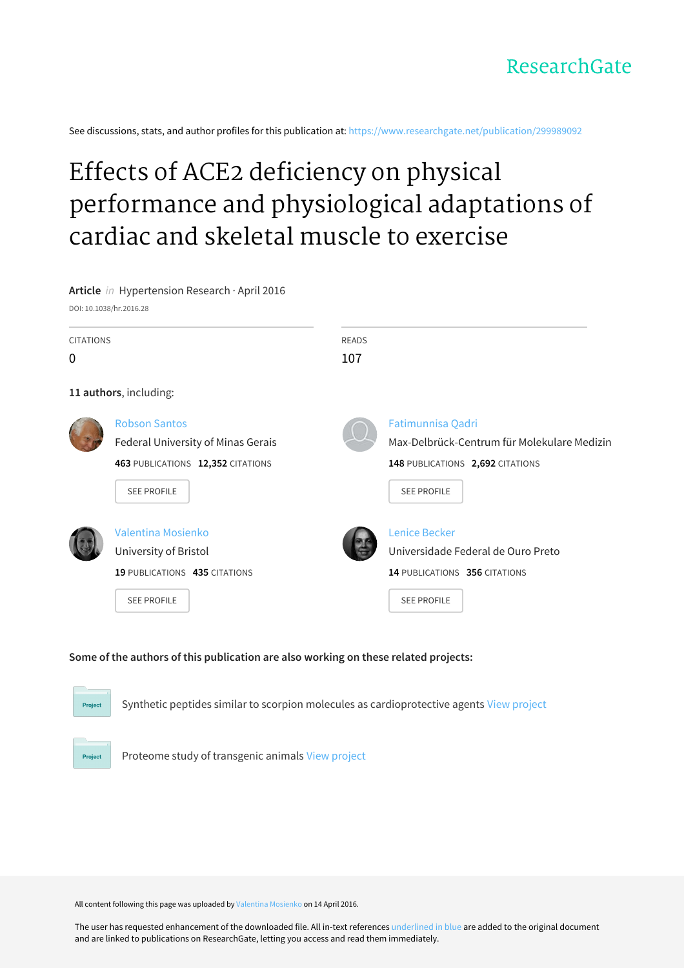See discussions, stats, and author profiles for this publication at: [https://www.researchgate.net/publication/299989092](https://www.researchgate.net/publication/299989092_Effects_of_ACE2_deficiency_on_physical_performance_and_physiological_adaptations_of_cardiac_and_skeletal_muscle_to_exercise?enrichId=rgreq-5eb9dcbf81601fa643c6e87246e4aef8-XXX&enrichSource=Y292ZXJQYWdlOzI5OTk4OTA5MjtBUzozNTA3ODg5NzYxNjg5NjBAMTQ2MDY0NjAxNzc5OA%3D%3D&el=1_x_2&_esc=publicationCoverPdf)

# Effects of ACE2 deficiency on physical performance and [physiological](https://www.researchgate.net/publication/299989092_Effects_of_ACE2_deficiency_on_physical_performance_and_physiological_adaptations_of_cardiac_and_skeletal_muscle_to_exercise?enrichId=rgreq-5eb9dcbf81601fa643c6e87246e4aef8-XXX&enrichSource=Y292ZXJQYWdlOzI5OTk4OTA5MjtBUzozNTA3ODg5NzYxNjg5NjBAMTQ2MDY0NjAxNzc5OA%3D%3D&el=1_x_3&_esc=publicationCoverPdf) adaptations of cardiac and skeletal muscle to exercise



# **Some of the authors of this publication are also working on these related projects:**

Synthetic peptides similar to scorpion molecules as cardioprotective agents View [project](https://www.researchgate.net/project/Synthetic-peptides-similar-to-scorpion-molecules-as-cardioprotective-agents?enrichId=rgreq-5eb9dcbf81601fa643c6e87246e4aef8-XXX&enrichSource=Y292ZXJQYWdlOzI5OTk4OTA5MjtBUzozNTA3ODg5NzYxNjg5NjBAMTQ2MDY0NjAxNzc5OA%3D%3D&el=1_x_9&_esc=publicationCoverPdf)

Project

Project

Proteome study of transgenic animals View [project](https://www.researchgate.net/project/Proteome-study-of-transgenic-animals?enrichId=rgreq-5eb9dcbf81601fa643c6e87246e4aef8-XXX&enrichSource=Y292ZXJQYWdlOzI5OTk4OTA5MjtBUzozNTA3ODg5NzYxNjg5NjBAMTQ2MDY0NjAxNzc5OA%3D%3D&el=1_x_9&_esc=publicationCoverPdf)

All content following this page was uploaded by Valentina [Mosienko](https://www.researchgate.net/profile/Valentina_Mosienko?enrichId=rgreq-5eb9dcbf81601fa643c6e87246e4aef8-XXX&enrichSource=Y292ZXJQYWdlOzI5OTk4OTA5MjtBUzozNTA3ODg5NzYxNjg5NjBAMTQ2MDY0NjAxNzc5OA%3D%3D&el=1_x_10&_esc=publicationCoverPdf) on 14 April 2016.

The user has requested enhancement of the downloaded file. All in-text references underlined in blue are added to the original document and are linked to publications on ResearchGate, letting you access and read them immediately.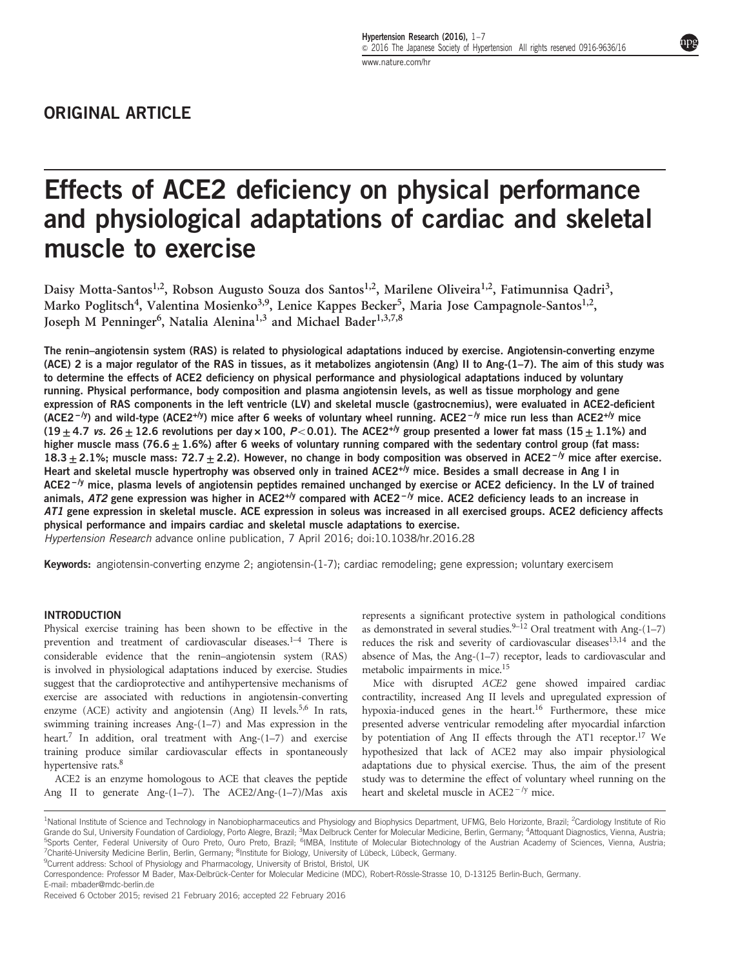# Effects of ACE2 deficiency on physical performance and physiological adaptations of cardiac and skeletal muscle to exercise

Daisy Motta-Santos<sup>1,2</sup>, Robson Augusto Souza dos Santos<sup>1,2</sup>, Marilene Oliveira<sup>1,2</sup>, Fatimunnisa Qadri<sup>3</sup>, Marko Poglitsch<sup>4</sup>, Valentina Mosienko<sup>3,9</sup>, Lenice Kappes Becker<sup>5</sup>, Maria Jose Campagnole-Santos<sup>1,2</sup>, Joseph M Penninger<sup>6</sup>, Natalia Alenina<sup>1,3</sup> and Michael Bader<sup>1,3,7,8</sup>

The renin–angiotensin system (RAS) is related to physiological adaptations induced by exercise. Angiotensin-converting enzyme (ACE) 2 is a major regulator of the RAS in tissues, as it metabolizes angiotensin (Ang) II to Ang- $(1-7)$ . The aim of this study was to determine the effects of ACE2 deficiency on physical performance and physiological adaptations induced by voluntary running. Physical performance, body composition and plasma angiotensin levels, as well as tissue morphology and gene expression of RAS components in the left ventricle (LV) and skeletal muscle (gastrocnemius), were evaluated in ACE2-deficient (ACE2<sup>-/y</sup>) and wild-type (ACE2<sup>+/y</sup>) mice after 6 weeks of voluntary wheel running. ACE2<sup>-/y</sup> mice run less than ACE2<sup>+/y</sup> mice  $(19 + 4.7 \text{ vs. } 26 + 12.6 \text{ revolutions per day} \times 100, P < 0.01)$ . The ACE2<sup>+/y</sup> group presented a lower fat mass  $(15 + 1.1\%)$  and higher muscle mass (76.6  $\pm$  1.6%) after 6 weeks of voluntary running compared with the sedentary control group (fat mass:  $18.3 + 2.1\%$ ; muscle mass: 72.7 + 2.2). However, no change in body composition was observed in ACE2<sup>−/y</sup> mice after exercise. Heart and skeletal muscle hypertrophy was observed only in trained ACE2<sup>+/y</sup> mice. Besides a small decrease in Ang I in ACE2<sup>−/y</sup> mice, plasma levels of angiotensin peptides remained unchanged by exercise or ACE2 deficiency. In the LV of trained animals, AT2 gene expression was higher in ACE2<sup>+/y</sup> compared with ACE2<sup>-/y</sup> mice. ACE2 deficiency leads to an increase in AT1 gene expression in skeletal muscle. ACE expression in soleus was increased in all exercised groups. ACE2 deficiency affects physical performance and impairs cardiac and skeletal muscle adaptations to exercise.

Hypertension Research advance online publication, 7 April 2016; doi[:10.1038/hr.2016.28](http://dx.doi.org/10.1038/hr.2016.28)

Keywords: angiotensin-converting enzyme 2; angiotensin-(1-7); cardiac remodeling; gene expression; voluntary exercisem

# INTRODUCTION

Physical exercise training has been shown to be effective in the prevention and treatment of cardiovascular diseases.<sup>1-4</sup> There is considerable evidence that the renin–angiotensin system (RAS) is involved in physiological adaptations induced by exercise. Studies suggest that the cardioprotective and antihypertensive mechanisms of exercise are associated with reductions in angiotensin-converting enzyme (ACE) activity and angiotensin (Ang) II levels.<sup>5,[6](#page-7-0)</sup> In rats, swimming training increases Ang-(1–7) and Mas expression in the heart.<sup>[7](#page-7-0)</sup> In addition, oral treatment with Ang-(1-7) and exercise training produce similar cardiovascular effects in spontaneously hypertensive rats.<sup>[8](#page-7-0)</sup>

ACE2 is an enzyme homologous to ACE that cleaves the peptide Ang II to generate Ang-(1–7). The ACE2/Ang-(1–7)/Mas axis represents a significant protective system in pathological conditions as demonstrated in several studies.<sup>9–[12](#page-7-0)</sup> Oral treatment with Ang- $(1–7)$ reduces the risk and severity of cardiovascular diseases<sup>[13,14](#page-7-0)</sup> and the absence of Mas, the Ang-(1–7) receptor, leads to cardiovascular and metabolic impairments in mice[.15](#page-7-0)

Mice with disrupted ACE2 gene showed impaired cardiac contractility, increased Ang II levels and upregulated expression of hypoxia-induced genes in the heart.<sup>16</sup> Furthermore, these mice presented adverse ventricular remodeling after myocardial infarction by potentiation of Ang II effects through the AT1 receptor.<sup>17</sup> We hypothesized that lack of ACE2 may also impair physiological adaptations due to physical exercise. Thus, the aim of the present study was to determine the effect of voluntary wheel running on the heart and skeletal muscle in ACE2<sup>-/y</sup> mice.

<sup>9</sup>Current address: School of Physiology and Pharmacology, University of Bristol, Bristol, UK

<sup>&</sup>lt;sup>1</sup>National Institute of Science and Technology in Nanobiopharmaceutics and Physiology and Biophysics Department, UFMG, Belo Horizonte, Brazil; <sup>2</sup>Cardiology Institute of Ric Grande do Sul, University Foundation of Cardiology, Porto Alegre, Brazil; <sup>3</sup>Max Delbruck Center for Molecular Medicine, Berlin, Germany; <sup>4</sup>Attoquant Diagnostics, Vienna, Austria;<br><sup>5</sup>Sports, Contex, Eoderal University of <sup>5</sup>Sports Center, Federal University of Ouro Preto, Ouro Preto, Brazil; <sup>6</sup>IMBA, Institute of Molecular Biotechnology of the Austrian Academy of Sciences, Vienna, Austria;<br><sup>7</sup>Charité University Modisine Berlin Berlin Corma <sup>7</sup>Charité-University Medicine Berlin, Berlin, Germany; <sup>8</sup>Institute for Biology, University of Lübeck, Lübeck, Germany.<br><sup>9</sup>Current address, School of Physiology and Pharmacology, University of Pristal, Rristal UK.

Correspondence: Professor M Bader, Max-Delbrück-Center for Molecular Medicine (MDC), Robert-Rössle-Strasse 10, D-13125 Berlin-Buch, Germany. E-mail: [mbader@mdc-berlin.de](mailto:mbader@mdc-berlin.de)

Received 6 October 2015; revised 21 February 2016; accepted 22 February 2016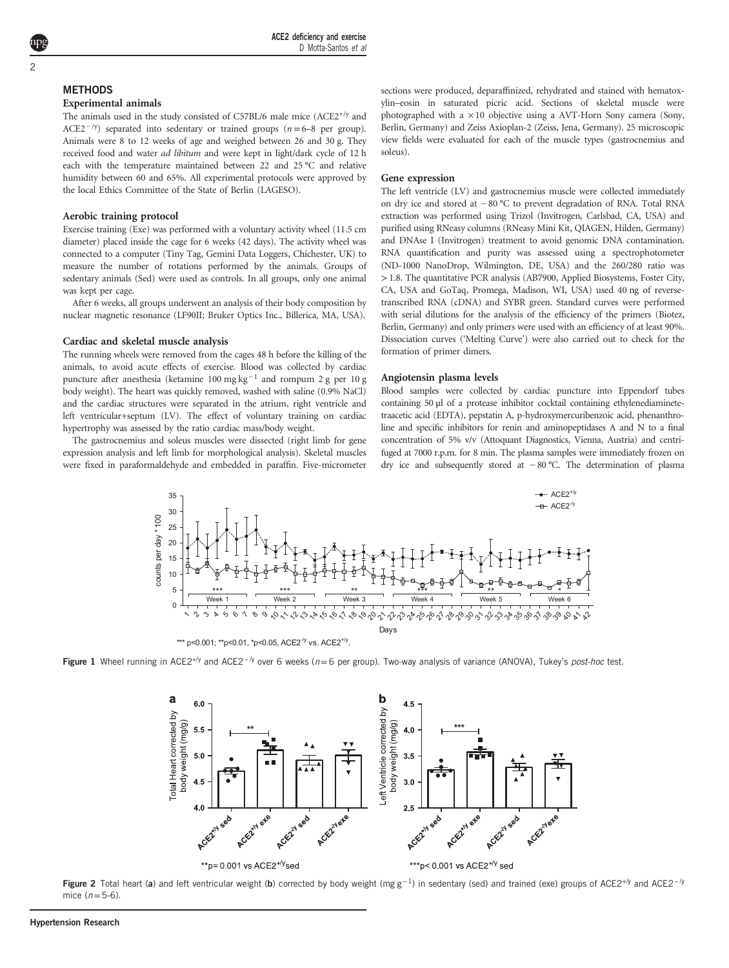# <span id="page-2-0"></span>**METHODS**

# Experimental animals

The animals used in the study consisted of  $C57BL/6$  male mice  $(ACE2^{+/y})$  and ACE2<sup>-/y</sup>) separated into sedentary or trained groups (n=6–8 per group). Animals were 8 to 12 weeks of age and weighed between 26 and 30 g. They received food and water *ad libitum* and were kept in light/dark cycle of 12 h each with the temperature maintained between 22 and 25 °C and relative humidity between 60 and 65%. All experimental protocols were approved by the local Ethics Committee of the State of Berlin (LAGESO).

# Aerobic training protocol

Exercise training (Exe) was performed with a voluntary activity wheel (11.5 cm diameter) placed inside the cage for 6 weeks (42 days). The activity wheel was connected to a computer (Tiny Tag, Gemini Data Loggers, Chichester, UK) to measure the number of rotations performed by the animals. Groups of sedentary animals (Sed) were used as controls. In all groups, only one animal was kept per cage.

After 6 weeks, all groups underwent an analysis of their body composition by nuclear magnetic resonance (LF90II; Bruker Optics Inc., Billerica, MA, USA).

# Cardiac and skeletal muscle analysis

The running wheels were removed from the cages 48 h before the killing of the animals, to avoid acute effects of exercise. Blood was collected by cardiac puncture after anesthesia (ketamine 100 mg kg<sup>-1</sup> and rompum 2 g per 10 g body weight). The heart was quickly removed, washed with saline (0.9% NaCl) and the cardiac structures were separated in the atrium, right ventricle and left ventricular+septum (LV). The effect of voluntary training on cardiac hypertrophy was assessed by the ratio cardiac mass/body weight.

The gastrocnemius and soleus muscles were dissected (right limb for gene expression analysis and left limb for morphological analysis). Skeletal muscles were fixed in paraformaldehyde and embedded in paraffin. Five-micrometer sections were produced, deparaffinized, rehydrated and stained with hematoxylin–eosin in saturated picric acid. Sections of skeletal muscle were photographed with a  $\times 10$  objective using a AVT-Horn Sony camera (Sony, Berlin, Germany) and Zeiss Axioplan-2 (Zeiss, Jena, Germany). 25 microscopic view fields were evaluated for each of the muscle types (gastrocnemius and soleus).

#### Gene expression

The left ventricle (LV) and gastrocnemius muscle were collected immediately on dry ice and stored at −80 °C to prevent degradation of RNA. Total RNA<br>The left ventricle (LV) and gastrocnemius muscle were collected immediately<br>on dry ice and stored at −80 °C to prevent degradation of RNA. Total RNA extraction was performed using Trizol (Invitrogen, Carlsbad, CA, USA) and purified using RNeasy columns (RNeasy Mini Kit, QIAGEN, Hilden, Germany) and DNAse I (Invitrogen) treatment to avoid genomic DNA contamination. RNA quantification and purity was assessed using a spectrophotometer (ND-1000 NanoDrop, Wilmington, DE, USA) and the 260/280 ratio was >1.8. The quantitative PCR analysis (AB7900, Applied Biosystems, Foster City, CA, USA and GoTaq, Promega, Madison, WI, USA) used 40 ng of reversetranscribed RNA (cDNA) and SYBR green. Standard curves were performed with serial dilutions for the analysis of the efficiency of the primers (Biotez, Berlin, Germany) and only primers were used with an efficiency of at least 90%. Dissociation curves ('Melting Curve') were also carried out to check for the formation of primer dimers.

#### Angiotensin plasma levels

Blood samples were collected by cardiac puncture into Eppendorf tubes containing 50 μl of a protease inhibitor cocktail containing ethylenediaminetetraacetic acid (EDTA), pepstatin A, p-hydroxymercuribenzoic acid, phenanthroline and specific inhibitors for renin and aminopeptidases A and N to a final concentration of 5% v/v (Attoquant Diagnostics, Vienna, Austria) and centrifuged at 7000 r.p.m. for 8 min. The plasma samples were immediately frozen on containing 50  $\mu$ l of a protease inhibitor cocktail containing ethylenediaminete-<br>traacetic acid (EDTA), pepstatin A, p-hydroxymercuribenzoic acid, phenanthro-<br>line and specific inhibitors for renin and aminopeptidases A



Figure 1 Wheel running in ACE2<sup>+/y</sup> and ACE2<sup>-/y</sup> over 6 weeks (n=6 per group). Two-way analysis of variance (ANOVA), Tukey's post-hoc test.



Figure 2 Total heart (a) and left ventricular weight (b) corrected by body weight (mg g<sup>-1</sup>) in sedentary (sed) and trained (exe) groups of ACE2<sup>+/y</sup> and ACE2<sup>-/y</sup> mice  $(n=5-6)$ .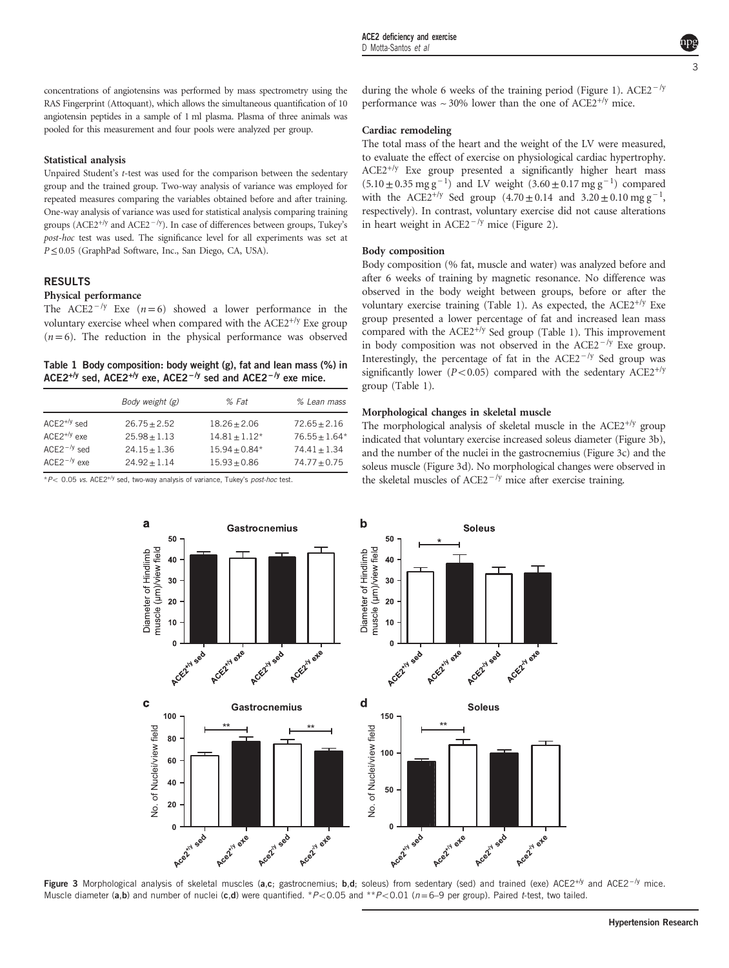<span id="page-3-0"></span>concentrations of angiotensins was performed by mass spectrometry using the RAS Fingerprint (Attoquant), which allows the simultaneous quantification of 10 angiotensin peptides in a sample of 1 ml plasma. Plasma of three animals was pooled for this measurement and four pools were analyzed per group.

# Statistical analysis

Unpaired Student's t-test was used for the comparison between the sedentary group and the trained group. Two-way analysis of variance was employed for repeated measures comparing the variables obtained before and after training. One-way analysis of variance was used for statistical analysis compa repeated measures comparing the variables obtained before and after training. One-way analysis of variance was used for statistical analysis comparing training post-hoc test was used. The significance level for all experiments was set at P≤0.05 (GraphPad Software, Inc., San Diego, CA, USA).

# RESULTS

# Physical performance

The ACE2<sup> $-$ /y</sup> Exe (n=6) showed a lower performance in the voluntary exercise wheel when compared with the  $ACE2^{+/y}$  Exe group  $(n=6)$ . The reduction in the physical performance was observed

|  | Table 1 Body composition: body weight (g), fat and lean mass (%) in                                         |
|--|-------------------------------------------------------------------------------------------------------------|
|  | ACE2 <sup>+/y</sup> sed, ACE2 <sup>+/y</sup> exe, ACE2 <sup>-/y</sup> sed and ACE2 <sup>-/y</sup> exe mice. |

|                  | Body weight (g) | $%$ Fat         | % Lean mass     |
|------------------|-----------------|-----------------|-----------------|
| $ACE2^{+/y}$ sed | $26.75 + 2.52$  | $18.26 + 2.06$  | $72.65 + 2.16$  |
| $ACE2^{+/y}$ exe | $25.98 + 1.13$  | $14.81 + 1.12*$ | $76.55 + 1.64*$ |
| $ACE2^{-/y}$ sed | $24.15 + 1.36$  | $15.94 + 0.84*$ | $74.41 + 1.34$  |
| $ACE2^{-/y}$ exe | $24.92 + 1.14$  | $15.93 + 0.86$  | $74.77 + 0.75$  |

Gastrocnemius

 $*P<$  0.05 vs. ACE2<sup>+/y</sup> sed, two-way analysis of variance, Tukey's post-hoc test.

50

 $40$ 30

 $20$ 

 $10$ 

a

Diameter of Hindlimb muscle (um)/view field during the whole 6 weeks of the training period ([Figure 1](#page-2-0)). ACE2<sup> $-$ /y</sup> performance was  $\sim$  30% lower than the one of ACE2<sup>+/y</sup> mice.

# Cardiac remodeling

The total mass of the heart and the weight of the LV were measured, to evaluate the effect of exercise on physiological cardiac hypertrophy.  $ACE2^{+/y}$  Exe group presented a significantly higher heart mass **Cardiac remodeling**<br>The total mass of the heart and the weight of the LV were measured,<br>to evaluate the effect of exercise on physiological cardiac hypertrophy.<br>ACE2<sup>+/y</sup> Exe group presented a significantly higher heart The total mass of the heart and the weight of the LV were measured,<br>to evaluate the effect of exercise on physiological cardiac hypertrophy.<br>ACE2<sup>+/y</sup> Exe group presented a significantly higher heart mass<br>(5.10 ± 0.35 mg respectively). In contrast, voluntary exercise did not cause alterations in heart weight in ACE2<sup> $-$ /y</sup> mice (Figure 2). ACE2<sup>+/y</sup> Exe group presented a significa (5.10 ± 0.35 mg g<sup>-1</sup>) and LV weight (3.60 ± with the ACE2<sup>+/y</sup> Sed group (4.70 ± 0.14 respectively). In contrast, voluntary exercise in heart weight in ACE2<sup>-/y</sup> mice [\(Figure 2\)](#page-2-0).

#### Body composition

Body composition (% fat, muscle and water) was analyzed before and after 6 weeks of training by magnetic resonance. No difference was observed in the body weight between groups, before or after the voluntary exercise training (Table 1). As expected, the ACE2<sup>+/y</sup> Exe group presented a lower percentage of fat and increased lean mass compared with the  $ACE2^{+/y}$  Sed group (Table 1). This improvement observed in the body weight between groups, before or after the voluntary exercise training (Table 1). As expected, the ACE2<sup>+/y</sup> Exe group presented a lower percentage of fat and increased lean mass compared with the ACE in body composition was not observed in the ACE2<sup>−/y</sup> Exe group.<br>Interestingly, the percentage of fat in the ACE2<sup>−/y</sup> Sed group was significantly lower ( $P$ <0.05) compared with the sedentary ACE2<sup>+/y</sup> group (Table 1).

# Morphological changes in skeletal muscle

**Soleus** 

The morphological analysis of skeletal muscle in the  $ACE2^{+/y}$  group indicated that voluntary exercise increased soleus diameter (Figure 3b), and the number of the nuclei in the gastrocnemius (Figure 3c) and the soleus muscle (Figure 3d). No morphological changes were observed in The morphological analysis of skeletal muscle in the ACE2 indicated that voluntary exercise increased soleus diameter (F and the number of the nuclei in the gastrocnemius (Figure 3 $\sigma$  soleus muscle (Figure 3d). No morpho



Figure 3 Morphological analysis of skeletal muscles (a,c; gastrocnemius; b,d; soleus) from sedentary (sed) and trained (exe) ACE2<sup>+/y</sup> and ACE2<sup>-/y</sup> mice. Muscle diameter (a,b) and number of nuclei (c,d) were quantified. \*P<0.05 and \*\*P<0.01 (n=6–9 per group). Paired t-test, two tailed.

 $\mathbf b$ 

Diameter of Hindlimb muscle (µm)/view field 50

 $40$ 

30

 $20$ 

 $10$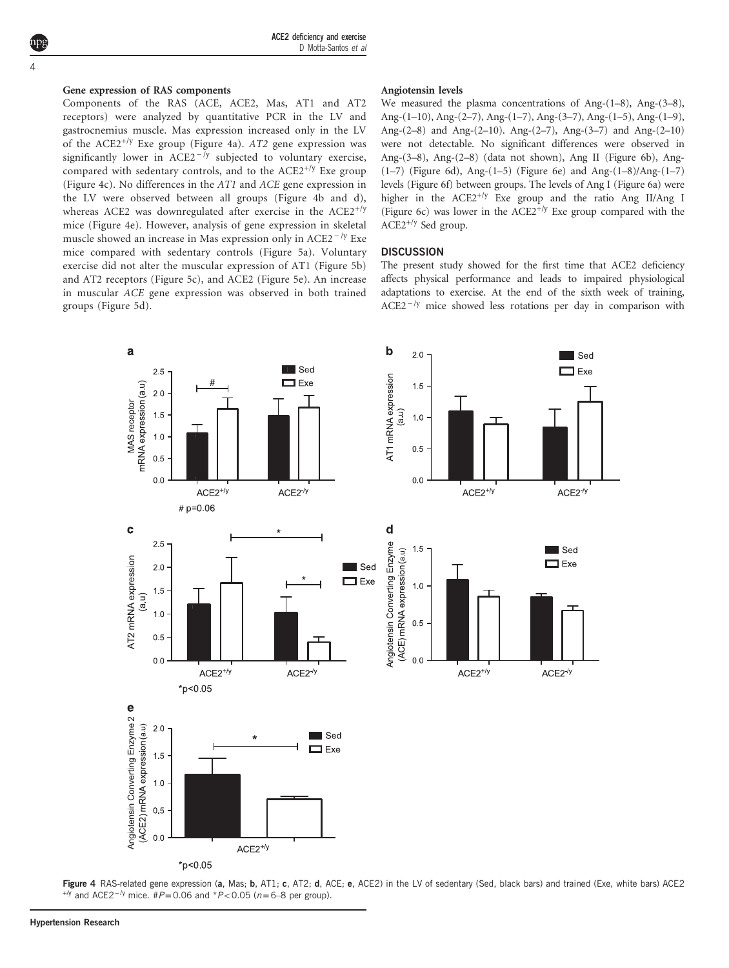ACE2 deficiency and exercise D Motta-Santos et al

# Gene expression of RAS components

Components of the RAS (ACE, ACE2, Mas, AT1 and AT2 receptors) were analyzed by quantitative PCR in the LV and gastrocnemius muscle. Mas expression increased only in the LV of the ACE2<sup>+/y</sup> Exe group (Figure 4a). AT2 gene expression was Components of the RAS (ACE, ACE2, Mas, AT1 and AT2 receptors) were analyzed by quantitative PCR in the LV and gastrocnemius muscle. Mas expression increased only in the LV of the ACE2<sup>+/y</sup> Exe group (Figure 4a). AT2 gene compared with sedentary controls, and to the  $ACE2^{+/y}$  Exe group (Figure 4c). No differences in the AT1 and ACE gene expression in the LV were observed between all groups (Figure 4b and d), whereas ACE2 was downregulated after exercise in the  $ACE2^{+/y}$ mice (Figure 4e). However, analysis of gene expression in skeletal (Figure 4c). No differences in the *AT1* and *ACE* gene expression in the LV were observed between all groups (Figure 4b and d), whereas ACE2 was downregulated after exercise in the ACE2<sup>+/y</sup> mice (Figure 4e). However, an mice compared with sedentary controls [\(Figure 5a\)](#page-5-0). Voluntary exercise did not alter the muscular expression of AT1 ([Figure 5b](#page-5-0)) and AT2 receptors [\(Figure 5c\)](#page-5-0), and ACE2 [\(Figure 5e\)](#page-5-0). An increase in muscular ACE gene expression was observed in both trained groups ([Figure 5d\)](#page-5-0).

#### Angiotensin levels

We measured the plasma concentrations of Ang-(1–8), Ang-(3–8), Ang-(1–10), Ang-(2–7), Ang-(1–7), Ang-(3–7), Ang-(1–5), Ang-(1–9), Ang-(2–8) and Ang-(2–10). Ang-(2–7), Ang-(3–7) and Ang-(2–10) were not detectable. No significant differences were observed in Ang-(3–8), Ang-(2–8) (data not shown), Ang II [\(Figure 6b](#page-6-0)), Ang- (1–7) ([Figure 6d](#page-6-0)), Ang-(1–5) [\(Figure 6e](#page-6-0)) and Ang-(1–8)/Ang-(1–7) levels ([Figure 6f](#page-6-0)) between groups. The levels of Ang I ([Figure 6a](#page-6-0)) were higher in the  $ACE2^{+/y}$  Exe group and the ratio Ang II/Ang I ([Figure 6c\)](#page-6-0) was lower in the ACE2<sup>+/y</sup> Exe group compared with the  $ACE2^{+/y}$  Sed group.

# **DISCUSSION**

**DISCUSSION**<br>The present study showed for the first time that ACE2 deficiency<br>affects physical performance and leads to impaired physiological<br>adaptations to exercise. At the end of the sixth week of training,<br>ACE2<sup>-/y</sup> m affects physical performance and leads to impaired physiological adaptations to exercise. At the end of the sixth week of training,



Figure 4 RAS-related gene expression (a, Mas; b, AT1; c, AT2; d, ACE; e, ACE2) in the LV of sedentary (Sed, black bars) and trained (Exe, white bars) ACE2  $^{+/y}$  and ACE2<sup>-/y</sup> mice. #P=0.06 and \*P<0.05 (n=6–8 per group).

<span id="page-4-0"></span>4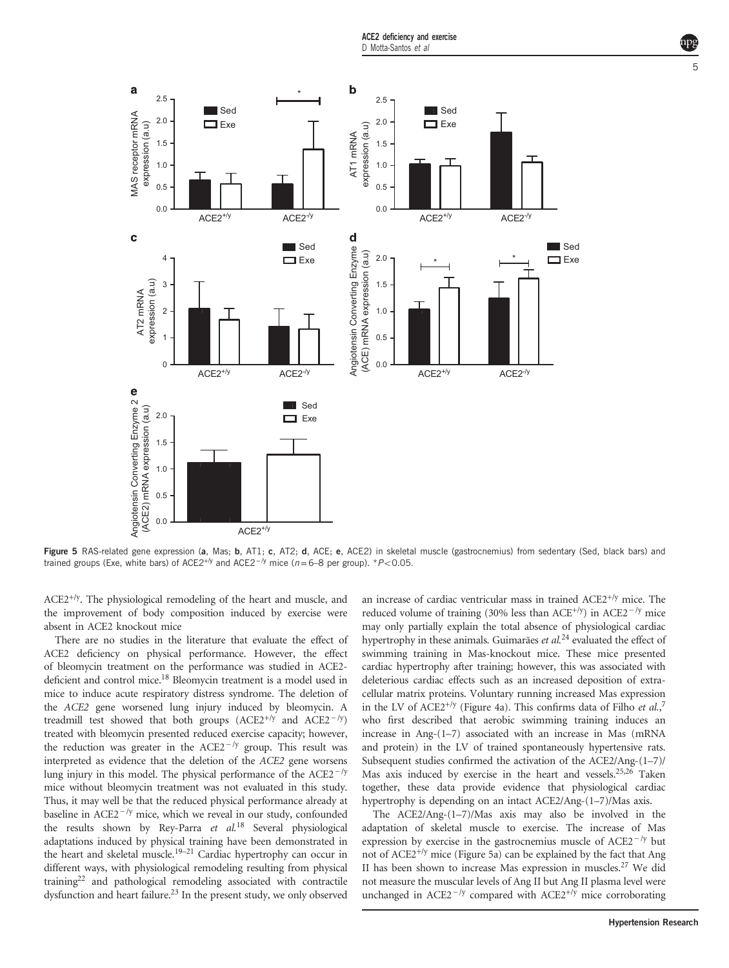ACE2 deficiency and exercise

<span id="page-5-0"></span>

Figure 5 RAS-related gene expression (a, Mas; b, AT1; c, AT2; d, ACE; e, ACE2) in skeletal muscle (gastrocnemius) from sedentary (Sed, black bars) and trained groups (Exe, white bars) of ACE2<sup>+/y</sup> and ACE2<sup>-/y</sup> mice (n=6–8 per group). \*P<0.05.

 $ACE2^{+/y}$ . The physiological remodeling of the heart and muscle, and the improvement of body composition induced by exercise were absent in ACE2 knockout mice

There are no studies in the literature that evaluate the effect of ACE2 deficiency on physical performance. However, the effect of bleomycin treatment on the performance was studied in ACE2- of bleomycin treatment on the performance was studied in ACE2-deficient and control mice.<sup>[18](#page-7-0)</sup> Bleomycin treatment is a model used in mice to induce acute respiratory distress syndrome. The deletion of the *ACE2* gene wors mice to induce acute respiratory distress syndrome. The deletion of the ACE2 gene worsened lung injury induced by bleomycin. A treated with bleomycin presented reduced exercise capacity; however, mice to induce acute respiratory distress syndrome. The deletion of<br>the *ACE2* gene worsened lung injury induced by bleomycin. A<br>treadmill test showed that both groups (ACE2<sup>+/y</sup> and ACE2<sup>−/y</sup>)<br>treated with bleomycin pres interpreted as evidence that the deletion of the ACE2 gene worsens treadmill test showed that both groups (ACE2<sup>+/y</sup> and ACE2<sup>−/y</sup>) treated with bleomycin presented reduced exercise capacity; however, the reduction was greater in the ACE2<sup>−/y</sup> group. This result was interpreted as eviden mice without bleomycin treatment was not evaluated in this study. Thus, it may well be that the reduced physical performance already at lung injury in this model. The physical performance of the ACE2<sup>−/y</sup> mice, without bleomycin treatment was not evaluated in this study. Thus, it may well be that the reduced physical performance already at baseline in ACE the results shown by Rey-Parra et al.<sup>[18](#page-7-0)</sup> Several physiological adaptations induced by physical training have been demonstrated in the heart and skeletal muscle.<sup>19–[21](#page-7-0)</sup> Cardiac hypertrophy can occur in different ways, with physiological remodeling resulting from physical trainin[g22](#page-7-0) and pathological remodeling associated with contractile dysfunction and heart failure.<sup>[23](#page-7-0)</sup> In the present study, we only observed

an increase of cardiac ventricular mass in trained ACE2+/y mice. The Frequend volume of cardiac ventricular mass in trained ACE2<sup>+/y</sup> mice. The reduced volume of training (30% less than ACE<sup>+/y</sup>) in ACE2<sup>−/y</sup> mice may only partially explain the total absence of physiological cardiac hypertrophy in these animals. Guimarães et al.<sup>[24](#page-7-0)</sup> evaluated the effect of swimming training in Mas-knockout mice. These mice presented cardiac hypertrophy after training; however, this was associated with deleterious cardiac effects such as an increased deposition of extracellular matrix proteins. Voluntary running increased Mas expression in the LV of ACE2<sup>+/y</sup> [\(Figure 4a](#page-4-0)). This confirms data of Filho et  $al$ ,<sup>[7](#page-7-0)</sup> who first described that aerobic swimming training induces an increase in Ang-(1–7) associated with an increase in Mas (mRNA and protein) in the LV of trained spontaneously hypertensive rats. Subsequent studies confirmed the activation of the ACE2/Ang-(1–7)/ Mas axis induced by exercise in the heart and vessels[.25,26](#page-7-0) Taken together, these data provide evidence that physiological cardiac hypertrophy is depending on an intact ACE2/Ang-(1–7)/Mas axis.

The ACE2/Ang-(1–7)/Mas axis may also be involved in the adaptation of skeletal muscle to exercise. The increase of Mas together, these data provide evidence that physiological cardiac<br>hypertrophy is depending on an intact ACE2/Ang-(1–7)/Mas axis.<br>The ACE2/Ang-(1–7)/Mas axis may also be involved in the<br>adaptation of skeletal muscle to exer not of  $ACE2^{+/y}$  mice (Figure 5a) can be explained by the fact that Ang II has been shown to increase Mas expression in muscles[.27](#page-7-0) We did not measure the muscular levels of Ang II but Ang II plasma level were expression by exercise in the gastrocnemius muscle of ACE2<sup>−/y</sup> but<br>not of ACE2<sup>+/y</sup> mice (Figure 5a) can be explained by the fact that Ang<br>II has been shown to increase Mas expression in muscles.<sup>27</sup> We did<br>not measure t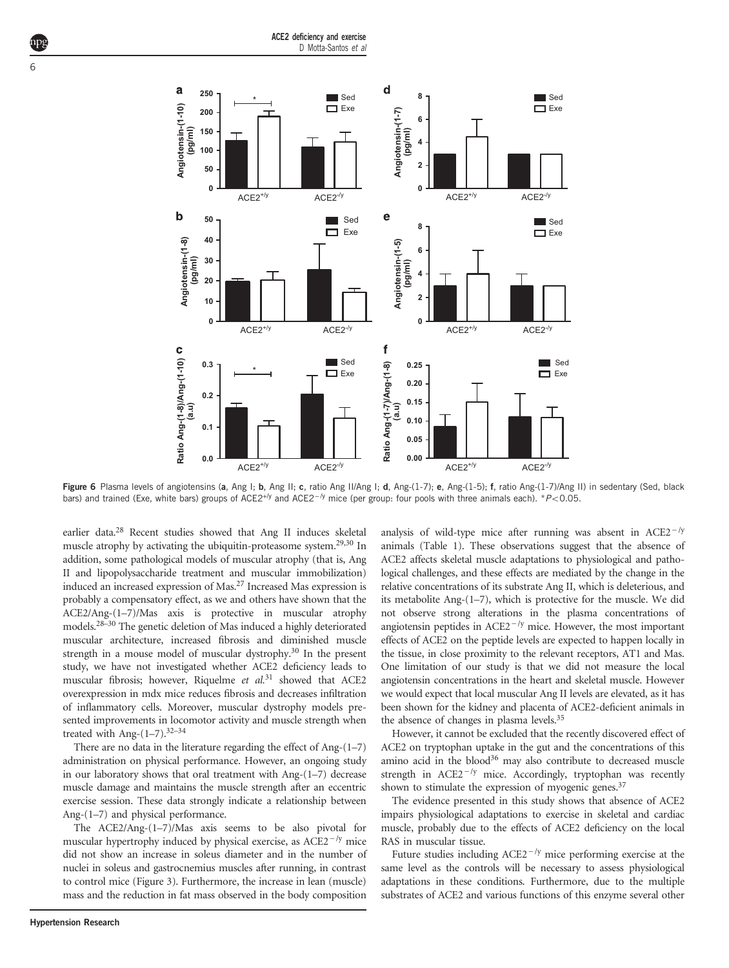<span id="page-6-0"></span>

**Figure 6** Plasma levels of angiotensins (**a**, Ang I; **b**, Ang II; **c**, ratio Ang II/Ang I; **d**, Ang-(1-7); **e**, Ang-(1-5); **f**, ratio Ang-(1-7)/Ang II) in sedentary (Sed, black bars) and trained (Exe, white bars) groups bars) and trained (Exe, white bars) groups of ACE2<sup>+/y</sup> and ACE2<sup>-/y</sup> mice (per group: four pools with three animals each). \*P<0.05.

earlier data.[28](#page-7-0) Recent studies showed that Ang II induces skeletal muscle atrophy by activating the ubiquitin-proteasome system.<sup>[29,30](#page-7-0)</sup> In addition, some pathological models of muscular atrophy (that is, Ang II and lipopolysaccharide treatment and muscular immobilization) induced an increased expression of Mas[.27](#page-7-0) Increased Mas expression is probably a compensatory effect, as we and others have shown that the ACE2/Ang-(1–7)/Mas axis is protective in muscular atrophy models.[28](#page-7-0)–<sup>30</sup> The genetic deletion of Mas induced a highly deteriorated muscular architecture, increased fibrosis and diminished muscle strength in a mouse model of muscular dystrophy.<sup>30</sup> In the present study, we have not investigated whether ACE2 deficiency leads to muscular fibrosis; however, Riquelme et al.<sup>[31](#page-7-0)</sup> showed that ACE2 overexpression in mdx mice reduces fibrosis and decreases infiltration of inflammatory cells. Moreover, muscular dystrophy models presented improvements in locomotor activity and muscle strength when treated with Ang- $(1-7)$ .<sup>32-[34](#page-7-0)</sup>

There are no data in the literature regarding the effect of Ang-(1–7) administration on physical performance. However, an ongoing study in our laboratory shows that oral treatment with Ang-(1–7) decrease muscle damage and maintains the muscle strength after an eccentric exercise session. These data strongly indicate a relationship between Ang-(1–7) and physical performance. muscle damage and maintains the muscle strength after an eccentric exercise session. These data strongly indicate a relationship between Ang-(1–7) and physical performance.<br>The ACE2/Ang-(1–7)/Mas axis seems to be also piv

The ACE2/Ang-(1–7)/Mas axis seems to be also pivotal for did not show an increase in soleus diameter and in the number of nuclei in soleus and gastrocnemius muscles after running, in contrast to control mice ([Figure 3](#page-3-0)). Furthermore, the increase in lean (muscle) mass and the reduction in fat mass observed in the body composition

ACE2 affects skeletal muscle adaptations to physiological and pathological challenges, and these effects are mediated by the change in the relative concentrations of its substrate Ang II, which is deleterious, and its metabolite Ang-(1–7), which is protective for the muscle. We did not observe strong alterations in the plasma concentrations of logical challenges, and these effects are mediated by the change in the relative concentrations of its substrate Ang II, which is deleterious, and its metabolite Ang-(1–7), which is protective for the muscle. We did not o effects of ACE2 on the peptide levels are expected to happen locally in the tissue, in close proximity to the relevant receptors, AT1 and Mas. One limitation of our study is that we did not measure the local angiotensin concentrations in the heart and skeletal muscle. However we would expect that local muscular Ang II levels are elevated, as it has been shown for the kidney and placenta of ACE2-deficient animals in the absence of changes in plasma levels.<sup>[35](#page-7-0)</sup> However, it cannot be excluded that the recently discovered effect of

animals [\(Table 1](#page-3-0)). These observations suggest that the absence of

ACE2 on tryptophan uptake in the gut and the concentrations of this amino acid in the blood $36$  may also contribute to decreased muscle the absence of changes in plasma levels.<sup>35</sup><br>However, it cannot be excluded that the recently discovered effect of<br>ACE2 on tryptophan uptake in the gut and the concentrations of this<br>amino acid in the blood<sup>36</sup> may also c shown to stimulate the expression of myogenic genes. $37$ 

The evidence presented in this study shows that absence of ACE2 impairs physiological adaptations to exercise in skeletal and cardiac muscle, probably due to the effects of ACE2 deficiency on the local RAS in muscular tissue. The evidence presented in this study shows that absence of ACE2<br>pairs physiological adaptations to exercise in skeletal and cardiac<br>uscle, probably due to the effects of ACE2 deficiency on the local<br>S in muscular tissue.<br>F

same level as the controls will be necessary to assess physiological adaptations in these conditions. Furthermore, due to the multiple substrates of ACE2 and various functions of this enzyme several other